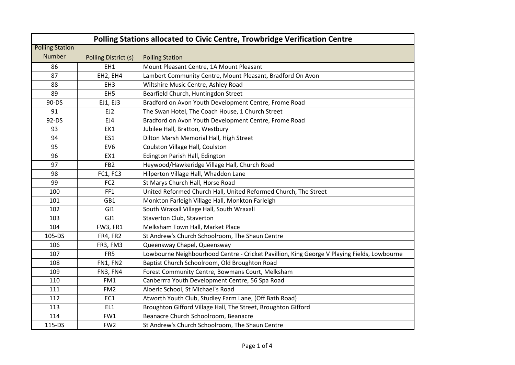| Polling Stations allocated to Civic Centre, Trowbridge Verification Centre |                      |                                                                                             |  |  |
|----------------------------------------------------------------------------|----------------------|---------------------------------------------------------------------------------------------|--|--|
| <b>Polling Station</b>                                                     |                      |                                                                                             |  |  |
| <b>Number</b>                                                              | Polling District (s) | <b>Polling Station</b>                                                                      |  |  |
| 86                                                                         | EH1                  | Mount Pleasant Centre, 1A Mount Pleasant                                                    |  |  |
| 87                                                                         | EH2, EH4             | Lambert Community Centre, Mount Pleasant, Bradford On Avon                                  |  |  |
| 88                                                                         | EH <sub>3</sub>      | Wiltshire Music Centre, Ashley Road                                                         |  |  |
| 89                                                                         | EH <sub>5</sub>      | Bearfield Church, Huntingdon Street                                                         |  |  |
| 90-DS                                                                      | EJ1, EJ3             | Bradford on Avon Youth Development Centre, Frome Road                                       |  |  |
| 91                                                                         | EJ2                  | The Swan Hotel, The Coach House, 1 Church Street                                            |  |  |
| 92-DS                                                                      | EJ4                  | Bradford on Avon Youth Development Centre, Frome Road                                       |  |  |
| 93                                                                         | EK1                  | Jubilee Hall, Bratton, Westbury                                                             |  |  |
| 94                                                                         | ES1                  | Dilton Marsh Memorial Hall, High Street                                                     |  |  |
| 95                                                                         | EV <sub>6</sub>      | Coulston Village Hall, Coulston                                                             |  |  |
| 96                                                                         | EX1                  | Edington Parish Hall, Edington                                                              |  |  |
| 97                                                                         | FB <sub>2</sub>      | Heywood/Hawkeridge Village Hall, Church Road                                                |  |  |
| 98                                                                         | FC1, FC3             | Hilperton Village Hall, Whaddon Lane                                                        |  |  |
| 99                                                                         | FC <sub>2</sub>      | St Marys Church Hall, Horse Road                                                            |  |  |
| 100                                                                        | FF1                  | United Reformed Church Hall, United Reformed Church, The Street                             |  |  |
| 101                                                                        | GB1                  | Monkton Farleigh Village Hall, Monkton Farleigh                                             |  |  |
| 102                                                                        | GI1                  | South Wraxall Village Hall, South Wraxall                                                   |  |  |
| 103                                                                        | GJ1                  | Staverton Club, Staverton                                                                   |  |  |
| 104                                                                        | <b>FW3, FR1</b>      | Melksham Town Hall, Market Place                                                            |  |  |
| 105-DS                                                                     | FR4, FR2             | St Andrew's Church Schoolroom, The Shaun Centre                                             |  |  |
| 106                                                                        | FR3, FM3             | Queensway Chapel, Queensway                                                                 |  |  |
| 107                                                                        | FR5                  | Lowbourne Neighbourhood Centre - Cricket Pavillion, King George V Playing Fields, Lowbourne |  |  |
| 108                                                                        | FN1, FN2             | Baptist Church Schoolroom, Old Broughton Road                                               |  |  |
| 109                                                                        | FN3, FN4             | Forest Community Centre, Bowmans Court, Melksham                                            |  |  |
| 110                                                                        | FM1                  | Canberrra Youth Development Centre, 56 Spa Road                                             |  |  |
| 111                                                                        | FM <sub>2</sub>      | Aloeric School, St Michael's Road                                                           |  |  |
| 112                                                                        | EC1                  | Atworth Youth Club, Studley Farm Lane, (Off Bath Road)                                      |  |  |
| 113                                                                        | EL1                  | Broughton Gifford Village Hall, The Street, Broughton Gifford                               |  |  |
| 114                                                                        | FW1                  | Beanacre Church Schoolroom, Beanacre                                                        |  |  |
| 115-DS                                                                     | FW <sub>2</sub>      | St Andrew's Church Schoolroom, The Shaun Centre                                             |  |  |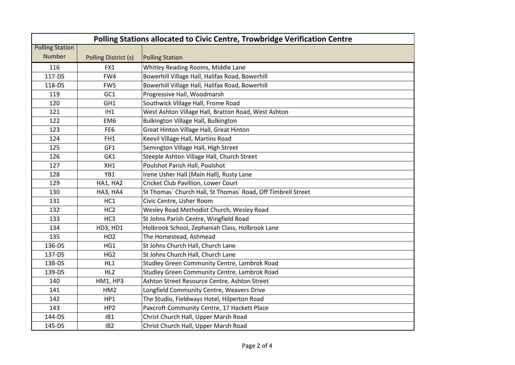| Polling Stations allocated to Civic Centre, Trowbridge Verification Centre |                      |                                                              |  |  |  |
|----------------------------------------------------------------------------|----------------------|--------------------------------------------------------------|--|--|--|
| <b>Polling Station</b>                                                     |                      |                                                              |  |  |  |
| <b>Number</b>                                                              | Polling District (s) | <b>Polling Station</b>                                       |  |  |  |
| 116                                                                        | FX1                  | Whitley Reading Rooms, Middle Lane                           |  |  |  |
| 117-DS                                                                     | FW4                  | Bowerhill Village Hall, Halifax Road, Bowerhill              |  |  |  |
| 118-DS                                                                     | FW5                  | Bowerhill Village Hall, Halifax Road, Bowerhill              |  |  |  |
| 119                                                                        | GC1                  | Progressive Hall, Woodmarsh                                  |  |  |  |
| 120                                                                        | GH1                  | Southwick Village Hall, Frome Road                           |  |  |  |
| 121                                                                        | IH1                  | West Ashton Village Hall, Bratton Road, West Ashton          |  |  |  |
| 122                                                                        | EM <sub>6</sub>      | Bulkington Village Hall, Bulkington                          |  |  |  |
| 123                                                                        | FE <sub>6</sub>      | Great Hinton Village Hall, Great Hinton                      |  |  |  |
| 124                                                                        | FH <sub>1</sub>      | Keevil Village Hall, Martins Road                            |  |  |  |
| 125                                                                        | GF1                  | Semington Village Hall, High Street                          |  |  |  |
| 126                                                                        | GK1                  | Steeple Ashton Village Hall, Church Street                   |  |  |  |
| 127                                                                        | XH1                  | Poulshot Parish Hall, Poulshot                               |  |  |  |
| 128                                                                        | YB1                  | Irene Usher Hall (Main Hall), Rusty Lane                     |  |  |  |
| 129                                                                        | HA1, HA2             | Cricket Club Pavillion, Lower Court                          |  |  |  |
| 130                                                                        | HA3, HA4             | St Thomas` Church Hall, St Thomas` Road, Off Timbrell Street |  |  |  |
| 131                                                                        | HC1                  | Civic Centre, Usher Room                                     |  |  |  |
| 132                                                                        | HC <sub>2</sub>      | Wesley Road Methodist Church, Wesley Road                    |  |  |  |
| 133                                                                        | HC3                  | St Johns Parish Centre, Wingfield Road                       |  |  |  |
| 134                                                                        | HD3, HD1             | Holbrook School, Zephaniah Class, Holbrook Lane              |  |  |  |
| 135                                                                        | HD <sub>2</sub>      | The Homestead, Ashmead                                       |  |  |  |
| 136-DS                                                                     | HG1                  | St Johns Church Hall, Church Lane                            |  |  |  |
| 137-DS                                                                     | HG <sub>2</sub>      | St Johns Church Hall, Church Lane                            |  |  |  |
| 138-DS                                                                     | HL1                  | Studley Green Community Centre, Lambrok Road                 |  |  |  |
| 139-DS                                                                     | HL <sub>2</sub>      | Studley Green Community Centre, Lambrok Road                 |  |  |  |
| 140                                                                        | <b>HM1, HP3</b>      | Ashton Street Resource Centre, Ashton Street                 |  |  |  |
| 141                                                                        | HM <sub>2</sub>      | Longfield Community Centre, Weavers Drive                    |  |  |  |
| 142                                                                        | HP1                  | The Studio, Fieldways Hotel, Hilperton Road                  |  |  |  |
| 143                                                                        | HP <sub>2</sub>      | Paxcroft Community Centre, 17 Hackett Place                  |  |  |  |
| 144-DS                                                                     | IB1                  | Christ Church Hall, Upper Marsh Road                         |  |  |  |
| 145-DS                                                                     | IB <sub>2</sub>      | Christ Church Hall, Upper Marsh Road                         |  |  |  |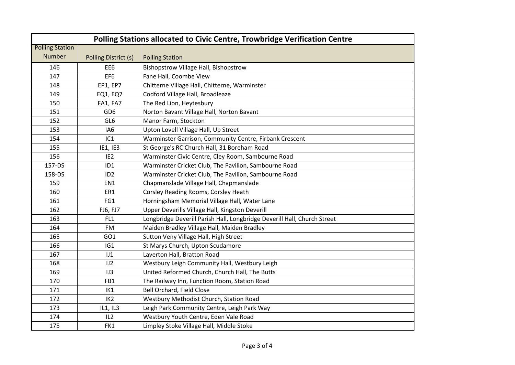| Polling Stations allocated to Civic Centre, Trowbridge Verification Centre |                      |                                                                          |  |  |  |
|----------------------------------------------------------------------------|----------------------|--------------------------------------------------------------------------|--|--|--|
| <b>Polling Station</b>                                                     |                      |                                                                          |  |  |  |
| <b>Number</b>                                                              | Polling District (s) | <b>Polling Station</b>                                                   |  |  |  |
| 146                                                                        | EE <sub>6</sub>      | Bishopstrow Village Hall, Bishopstrow                                    |  |  |  |
| 147                                                                        | EF <sub>6</sub>      | Fane Hall, Coombe View                                                   |  |  |  |
| 148                                                                        | EP1, EP7             | Chitterne Village Hall, Chitterne, Warminster                            |  |  |  |
| 149                                                                        | <b>EQ1, EQ7</b>      | Codford Village Hall, Broadleaze                                         |  |  |  |
| 150                                                                        | FA1, FA7             | The Red Lion, Heytesbury                                                 |  |  |  |
| 151                                                                        | GD <sub>6</sub>      | Norton Bavant Village Hall, Norton Bavant                                |  |  |  |
| 152                                                                        | GL6                  | Manor Farm, Stockton                                                     |  |  |  |
| 153                                                                        | IA <sub>6</sub>      | Upton Lovell Village Hall, Up Street                                     |  |  |  |
| 154                                                                        | IC1                  | Warminster Garrison, Community Centre, Firbank Crescent                  |  |  |  |
| 155                                                                        | IE1, IE3             | St George's RC Church Hall, 31 Boreham Road                              |  |  |  |
| 156                                                                        | IE <sub>2</sub>      | Warminster Civic Centre, Cley Room, Sambourne Road                       |  |  |  |
| 157-DS                                                                     | ID1                  | Warminster Cricket Club, The Pavilion, Sambourne Road                    |  |  |  |
| 158-DS                                                                     | ID <sub>2</sub>      | Warminster Cricket Club, The Pavilion, Sambourne Road                    |  |  |  |
| 159                                                                        | EN1                  | Chapmanslade Village Hall, Chapmanslade                                  |  |  |  |
| 160                                                                        | ER1                  | Corsley Reading Rooms, Corsley Heath                                     |  |  |  |
| 161                                                                        | FG1                  | Horningsham Memorial Village Hall, Water Lane                            |  |  |  |
| 162                                                                        | FJ6, FJ7             | Upper Deverills Village Hall, Kingston Deverill                          |  |  |  |
| 163                                                                        | FL1                  | Longbridge Deverill Parish Hall, Longbridge Deverill Hall, Church Street |  |  |  |
| 164                                                                        | <b>FM</b>            | Maiden Bradley Village Hall, Maiden Bradley                              |  |  |  |
| 165                                                                        | GO <sub>1</sub>      | Sutton Veny Village Hall, High Street                                    |  |  |  |
| 166                                                                        | IG1                  | St Marys Church, Upton Scudamore                                         |  |  |  |
| 167                                                                        | J1                   | Laverton Hall, Bratton Road                                              |  |  |  |
| 168                                                                        | 1J2                  | Westbury Leigh Community Hall, Westbury Leigh                            |  |  |  |
| 169                                                                        | IJ3                  | United Reformed Church, Church Hall, The Butts                           |  |  |  |
| 170                                                                        | FB1                  | The Railway Inn, Function Room, Station Road                             |  |  |  |
| 171                                                                        | IK1                  | Bell Orchard, Field Close                                                |  |  |  |
| 172                                                                        | IK <sub>2</sub>      | Westbury Methodist Church, Station Road                                  |  |  |  |
| 173                                                                        | IL1, IL3             | Leigh Park Community Centre, Leigh Park Way                              |  |  |  |
| 174                                                                        | IL <sub>2</sub>      | Westbury Youth Centre, Eden Vale Road                                    |  |  |  |
| 175                                                                        | FK1                  | Limpley Stoke Village Hall, Middle Stoke                                 |  |  |  |